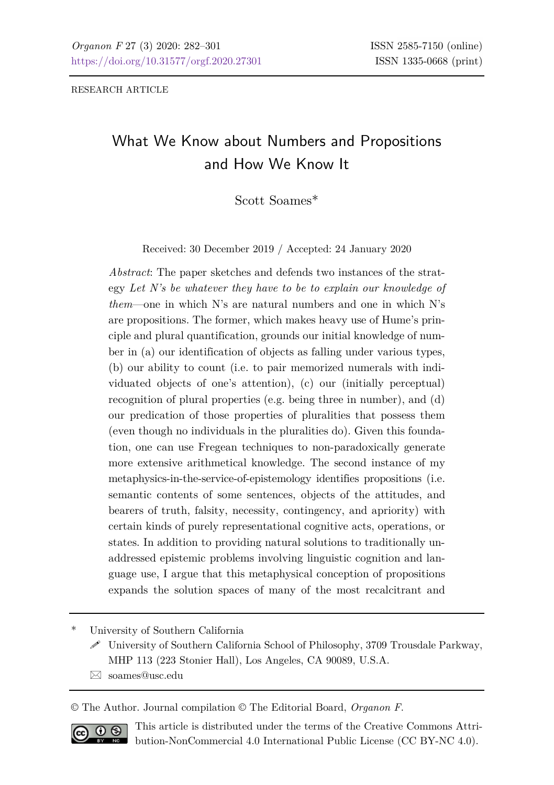RESEARCH ARTICLE

## What We Know about Numbers and Propositions and How We Know It

Scott Soames\*

Received: 30 December 2019 / Accepted: 24 January 2020

*Abstract*: The paper sketches and defends two instances of the strategy *Let N's be whatever they have to be to explain our knowledge of them*—one in which N's are natural numbers and one in which N's are propositions. The former, which makes heavy use of Hume's principle and plural quantification, grounds our initial knowledge of number in (a) our identification of objects as falling under various types, (b) our ability to count (i.e. to pair memorized numerals with individuated objects of one's attention), (c) our (initially perceptual) recognition of plural properties (e.g. being three in number), and (d) our predication of those properties of pluralities that possess them (even though no individuals in the pluralities do). Given this foundation, one can use Fregean techniques to non-paradoxically generate more extensive arithmetical knowledge. The second instance of my metaphysics-in-the-service-of-epistemology identifies propositions (i.e. semantic contents of some sentences, objects of the attitudes, and bearers of truth, falsity, necessity, contingency, and apriority) with certain kinds of purely representational cognitive acts, operations, or states. In addition to providing natural solutions to traditionally unaddressed epistemic problems involving linguistic cognition and language use, I argue that this metaphysical conception of propositions expands the solution spaces of many of the most recalcitrant and

\* University of Southern California

 University of Southern California School of Philosophy, 3709 Trousdale Parkway, MHP 113 (223 Stonier Hall), Los Angeles, CA 90089, U.S.A.

[soames@usc.edu](mailto:soames@usc.edu)

© The Author. Journal compilation © The Editorial Board, *Organon F*.



This article is distributed under the terms of the Creative Commons Attribution-NonCommercial 4.0 International Public License (CC BY-NC 4.0).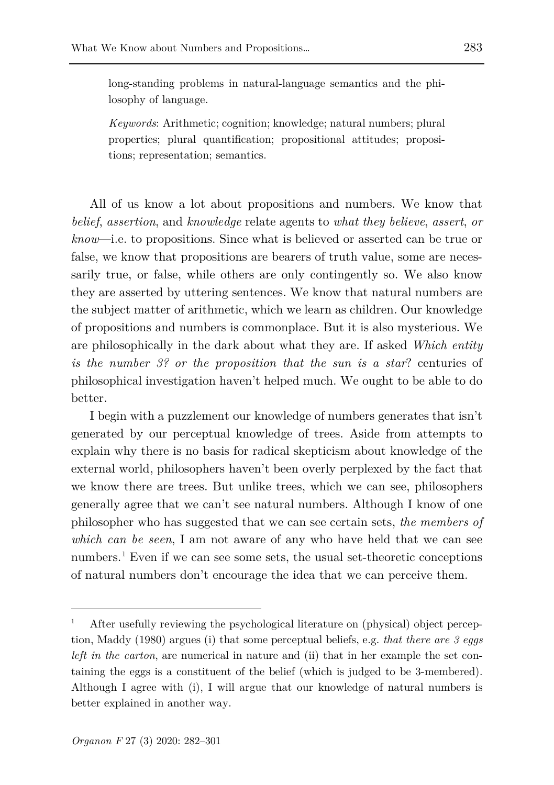long-standing problems in natural-language semantics and the philosophy of language.

*Keywords*: Arithmetic; cognition; knowledge; natural numbers; plural properties; plural quantification; propositional attitudes; propositions; representation; semantics.

All of us know a lot about propositions and numbers. We know that *belief*, *assertion*, and *knowledge* relate agents to *what they believe*, *assert*, *or know*—i.e. to propositions. Since what is believed or asserted can be true or false, we know that propositions are bearers of truth value, some are necessarily true, or false, while others are only contingently so. We also know they are asserted by uttering sentences. We know that natural numbers are the subject matter of arithmetic, which we learn as children. Our knowledge of propositions and numbers is commonplace. But it is also mysterious. We are philosophically in the dark about what they are. If asked *Which entity is the number 3? or the proposition that the sun is a star*? centuries of philosophical investigation haven't helped much. We ought to be able to do better.

I begin with a puzzlement our knowledge of numbers generates that isn't generated by our perceptual knowledge of trees. Aside from attempts to explain why there is no basis for radical skepticism about knowledge of the external world, philosophers haven't been overly perplexed by the fact that we know there are trees. But unlike trees, which we can see, philosophers generally agree that we can't see natural numbers. Although I know of one philosopher who has suggested that we can see certain sets, *the members of which can be seen*, I am not aware of any who have held that we can see numbers.[1](#page-1-0) Even if we can see some sets, the usual set-theoretic conceptions of natural numbers don't encourage the idea that we can perceive them.

<span id="page-1-0"></span><sup>1</sup> After usefully reviewing the psychological literature on (physical) object perception, Maddy (1980) argues (i) that some perceptual beliefs, e.g. *that there are 3 eggs left in the carton*, are numerical in nature and (ii) that in her example the set containing the eggs is a constituent of the belief (which is judged to be 3-membered). Although I agree with (i), I will argue that our knowledge of natural numbers is better explained in another way.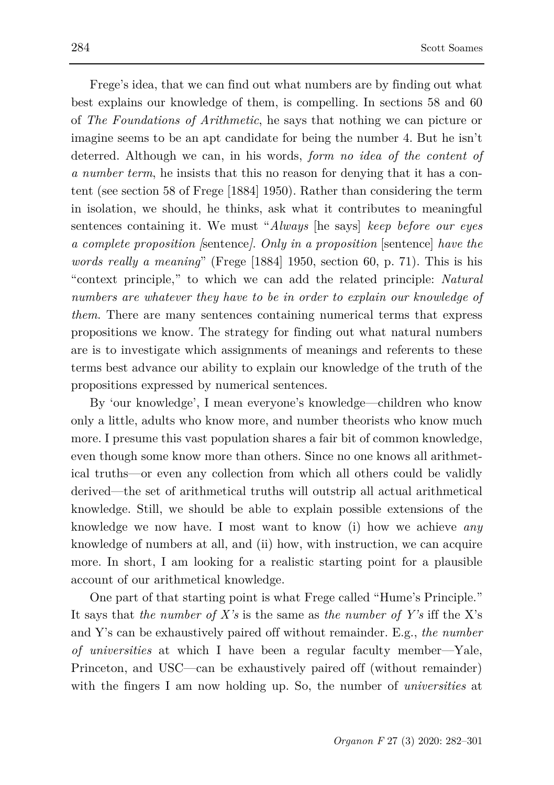Frege's idea, that we can find out what numbers are by finding out what best explains our knowledge of them, is compelling. In sections 58 and 60 of *The Foundations of Arithmetic*, he says that nothing we can picture or imagine seems to be an apt candidate for being the number 4. But he isn't deterred. Although we can, in his words, *form no idea of the content of a number term*, he insists that this no reason for denying that it has a content (see section 58 of Frege [1884] 1950). Rather than considering the term in isolation, we should, he thinks, ask what it contributes to meaningful sentences containing it. We must "*Always* [he says] *keep before our eyes a complete proposition [*sentence*]*. *Only in a proposition* [sentence] *have the words really a meaning*" (Frege [1884] 1950, section 60, p. 71). This is his "context principle," to which we can add the related principle: *Natural numbers are whatever they have to be in order to explain our knowledge of them*. There are many sentences containing numerical terms that express propositions we know. The strategy for finding out what natural numbers are is to investigate which assignments of meanings and referents to these terms best advance our ability to explain our knowledge of the truth of the propositions expressed by numerical sentences.

By 'our knowledge', I mean everyone's knowledge—children who know only a little, adults who know more, and number theorists who know much more. I presume this vast population shares a fair bit of common knowledge, even though some know more than others. Since no one knows all arithmetical truths—or even any collection from which all others could be validly derived—the set of arithmetical truths will outstrip all actual arithmetical knowledge. Still, we should be able to explain possible extensions of the knowledge we now have. I most want to know (i) how we achieve *any* knowledge of numbers at all, and (ii) how, with instruction, we can acquire more. In short, I am looking for a realistic starting point for a plausible account of our arithmetical knowledge.

One part of that starting point is what Frege called "Hume's Principle." It says that *the number of X's* is the same as *the number of Y's* iff the X's and Y's can be exhaustively paired off without remainder. E.g., *the number of universities* at which I have been a regular faculty member—Yale, Princeton, and USC—can be exhaustively paired off (without remainder) with the fingers I am now holding up. So, the number of *universities* at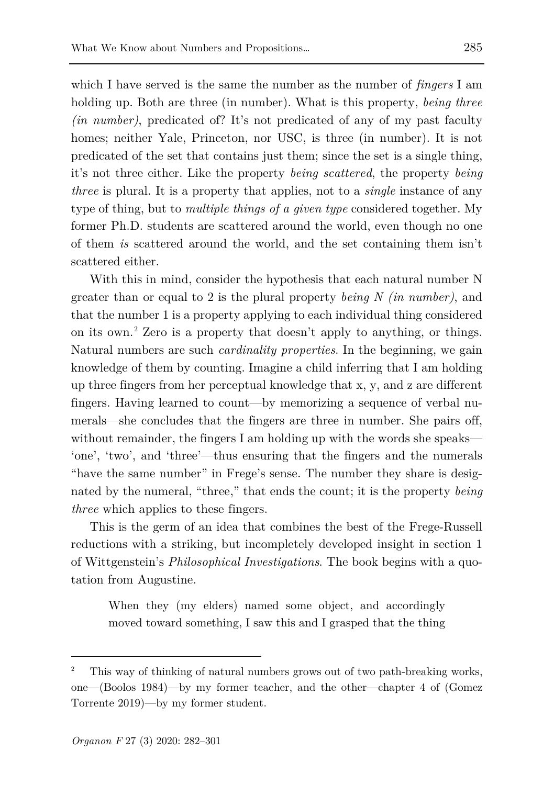which I have served is the same the number as the number of *fingers* I am holding up. Both are three (in number). What is this property, *being three (in number)*, predicated of? It's not predicated of any of my past faculty homes; neither Yale, Princeton, nor USC, is three (in number). It is not predicated of the set that contains just them; since the set is a single thing, it's not three either. Like the property *being scattered*, the property *being three* is plural. It is a property that applies, not to a *single* instance of any type of thing, but to *multiple things of a given type* considered together. My former Ph.D. students are scattered around the world, even though no one of them *is* scattered around the world, and the set containing them isn't scattered either.

With this in mind, consider the hypothesis that each natural number N greater than or equal to 2 is the plural property *being N (in number)*, and that the number 1 is a property applying to each individual thing considered on its own.[2](#page-3-0) Zero is a property that doesn't apply to anything, or things. Natural numbers are such *cardinality properties*. In the beginning, we gain knowledge of them by counting. Imagine a child inferring that I am holding up three fingers from her perceptual knowledge that x, y, and z are different fingers. Having learned to count—by memorizing a sequence of verbal numerals—she concludes that the fingers are three in number. She pairs off, without remainder, the fingers I am holding up with the words she speaks— 'one', 'two', and 'three'—thus ensuring that the fingers and the numerals "have the same number" in Frege's sense. The number they share is designated by the numeral, "three," that ends the count; it is the property *being three* which applies to these fingers.

This is the germ of an idea that combines the best of the Frege-Russell reductions with a striking, but incompletely developed insight in section 1 of Wittgenstein's *Philosophical Investigations*. The book begins with a quotation from Augustine.

When they (my elders) named some object, and accordingly moved toward something, I saw this and I grasped that the thing

<span id="page-3-0"></span><sup>2</sup> This way of thinking of natural numbers grows out of two path-breaking works, one—(Boolos 1984)—by my former teacher, and the other—chapter 4 of (Gomez Torrente 2019)—by my former student.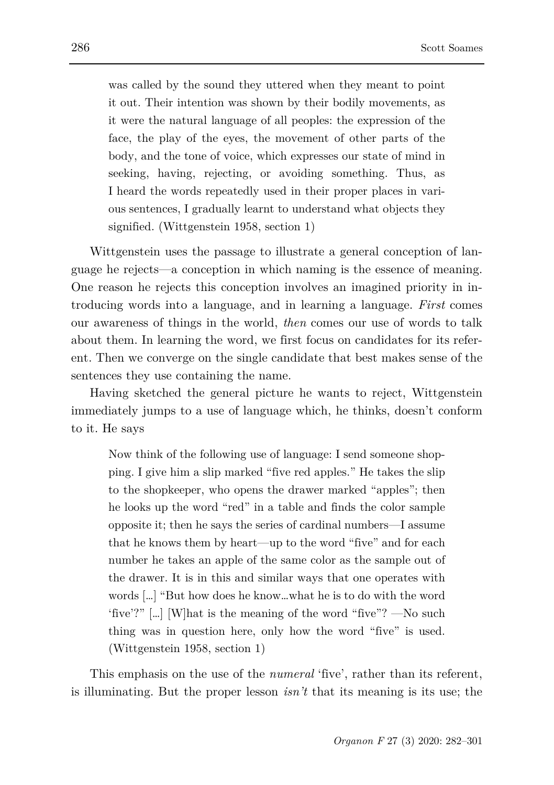was called by the sound they uttered when they meant to point it out. Their intention was shown by their bodily movements, as it were the natural language of all peoples: the expression of the face, the play of the eyes, the movement of other parts of the body, and the tone of voice, which expresses our state of mind in seeking, having, rejecting, or avoiding something. Thus, as I heard the words repeatedly used in their proper places in various sentences, I gradually learnt to understand what objects they signified. (Wittgenstein 1958, section 1)

Wittgenstein uses the passage to illustrate a general conception of language he rejects—a conception in which naming is the essence of meaning. One reason he rejects this conception involves an imagined priority in introducing words into a language, and in learning a language. *First* comes our awareness of things in the world, *then* comes our use of words to talk about them. In learning the word, we first focus on candidates for its referent. Then we converge on the single candidate that best makes sense of the sentences they use containing the name.

Having sketched the general picture he wants to reject, Wittgenstein immediately jumps to a use of language which, he thinks, doesn't conform to it. He says

Now think of the following use of language: I send someone shopping. I give him a slip marked "five red apples." He takes the slip to the shopkeeper, who opens the drawer marked "apples"; then he looks up the word "red" in a table and finds the color sample opposite it; then he says the series of cardinal numbers—I assume that he knows them by heart—up to the word "five" and for each number he takes an apple of the same color as the sample out of the drawer. It is in this and similar ways that one operates with words […] "But how does he know…what he is to do with the word 'five'?" […] [W]hat is the meaning of the word "five"? —No such thing was in question here, only how the word "five" is used. (Wittgenstein 1958, section 1)

This emphasis on the use of the *numeral* 'five', rather than its referent, is illuminating. But the proper lesson *isn't* that its meaning is its use; the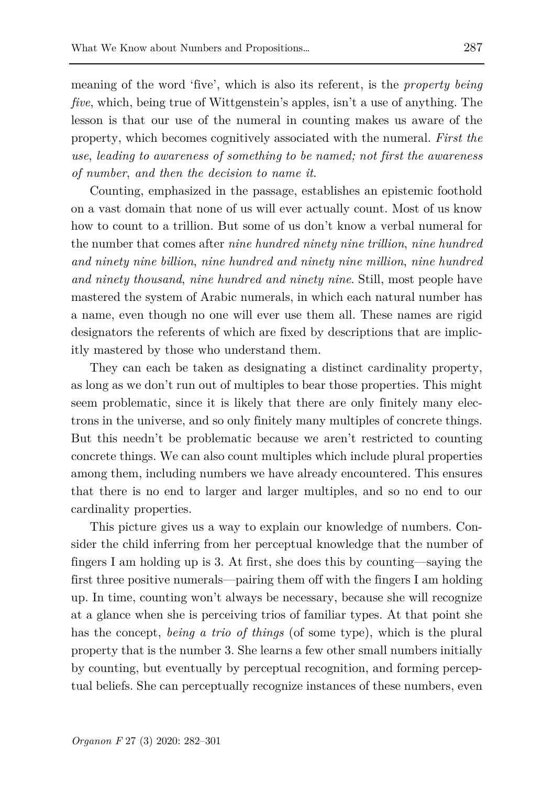meaning of the word 'five', which is also its referent, is the *property being five*, which, being true of Wittgenstein's apples, isn't a use of anything. The lesson is that our use of the numeral in counting makes us aware of the property, which becomes cognitively associated with the numeral. *First the use*, *leading to awareness of something to be named; not first the awareness of number*, *and then the decision to name it*.

Counting, emphasized in the passage, establishes an epistemic foothold on a vast domain that none of us will ever actually count. Most of us know how to count to a trillion. But some of us don't know a verbal numeral for the number that comes after *nine hundred ninety nine trillion*, *nine hundred and ninety nine billion*, *nine hundred and ninety nine million*, *nine hundred and ninety thousand*, *nine hundred and ninety nine*. Still, most people have mastered the system of Arabic numerals, in which each natural number has a name, even though no one will ever use them all. These names are rigid designators the referents of which are fixed by descriptions that are implicitly mastered by those who understand them.

They can each be taken as designating a distinct cardinality property, as long as we don't run out of multiples to bear those properties. This might seem problematic, since it is likely that there are only finitely many electrons in the universe, and so only finitely many multiples of concrete things. But this needn't be problematic because we aren't restricted to counting concrete things. We can also count multiples which include plural properties among them, including numbers we have already encountered. This ensures that there is no end to larger and larger multiples, and so no end to our cardinality properties.

This picture gives us a way to explain our knowledge of numbers. Consider the child inferring from her perceptual knowledge that the number of fingers I am holding up is 3. At first, she does this by counting—saying the first three positive numerals—pairing them off with the fingers I am holding up. In time, counting won't always be necessary, because she will recognize at a glance when she is perceiving trios of familiar types. At that point she has the concept, *being a trio of things* (of some type), which is the plural property that is the number 3. She learns a few other small numbers initially by counting, but eventually by perceptual recognition, and forming perceptual beliefs. She can perceptually recognize instances of these numbers, even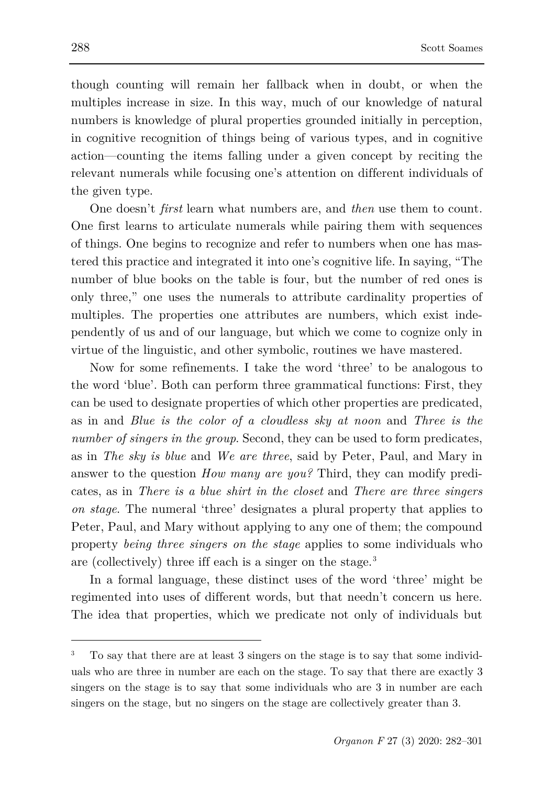though counting will remain her fallback when in doubt, or when the multiples increase in size. In this way, much of our knowledge of natural numbers is knowledge of plural properties grounded initially in perception, in cognitive recognition of things being of various types, and in cognitive action—counting the items falling under a given concept by reciting the relevant numerals while focusing one's attention on different individuals of the given type.

One doesn't *first* learn what numbers are, and *then* use them to count. One first learns to articulate numerals while pairing them with sequences of things. One begins to recognize and refer to numbers when one has mastered this practice and integrated it into one's cognitive life. In saying, "The number of blue books on the table is four, but the number of red ones is only three," one uses the numerals to attribute cardinality properties of multiples. The properties one attributes are numbers, which exist independently of us and of our language, but which we come to cognize only in virtue of the linguistic, and other symbolic, routines we have mastered.

Now for some refinements. I take the word 'three' to be analogous to the word 'blue'. Both can perform three grammatical functions: First, they can be used to designate properties of which other properties are predicated, as in and *Blue is the color of a cloudless sky at noon* and *Three is the number of singers in the group.* Second, they can be used to form predicates, as in *The sky is blue* and *We are three*, said by Peter, Paul, and Mary in answer to the question *How many are you?* Third, they can modify predicates, as in *There is a blue shirt in the closet* and *There are three singers on stage*. The numeral 'three' designates a plural property that applies to Peter, Paul, and Mary without applying to any one of them; the compound property *being three singers on the stage* applies to some individuals who are (collectively) three iff each is a singer on the stage.[3](#page-6-0)

In a formal language, these distinct uses of the word 'three' might be regimented into uses of different words, but that needn't concern us here. The idea that properties, which we predicate not only of individuals but

<span id="page-6-0"></span><sup>3</sup> To say that there are at least 3 singers on the stage is to say that some individuals who are three in number are each on the stage. To say that there are exactly 3 singers on the stage is to say that some individuals who are 3 in number are each singers on the stage, but no singers on the stage are collectively greater than 3.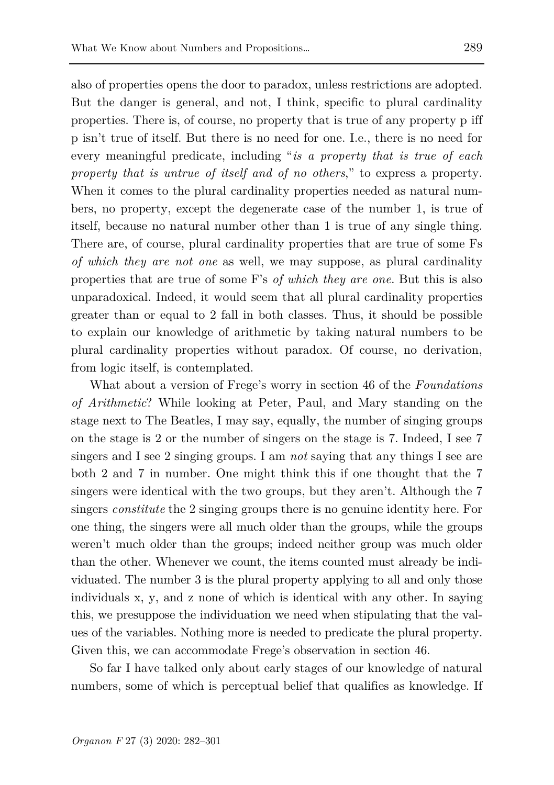also of properties opens the door to paradox, unless restrictions are adopted. But the danger is general, and not, I think, specific to plural cardinality properties. There is, of course, no property that is true of any property p iff p isn't true of itself. But there is no need for one. I.e., there is no need for every meaningful predicate, including "*is a property that is true of each property that is untrue of itself and of no others*," to express a property. When it comes to the plural cardinality properties needed as natural numbers, no property, except the degenerate case of the number 1, is true of itself, because no natural number other than 1 is true of any single thing. There are, of course, plural cardinality properties that are true of some Fs *of which they are not one* as well, we may suppose, as plural cardinality properties that are true of some F's *of which they are one*. But this is also unparadoxical. Indeed, it would seem that all plural cardinality properties greater than or equal to 2 fall in both classes. Thus, it should be possible to explain our knowledge of arithmetic by taking natural numbers to be plural cardinality properties without paradox. Of course, no derivation, from logic itself, is contemplated.

What about a version of Frege's worry in section 46 of the *Foundations of Arithmetic*? While looking at Peter, Paul, and Mary standing on the stage next to The Beatles, I may say, equally, the number of singing groups on the stage is 2 or the number of singers on the stage is 7. Indeed, I see 7 singers and I see 2 singing groups. I am *not* saying that any things I see are both 2 and 7 in number. One might think this if one thought that the 7 singers were identical with the two groups, but they aren't. Although the 7 singers *constitute* the 2 singing groups there is no genuine identity here. For one thing, the singers were all much older than the groups, while the groups weren't much older than the groups; indeed neither group was much older than the other. Whenever we count, the items counted must already be individuated. The number 3 is the plural property applying to all and only those individuals x, y, and z none of which is identical with any other. In saying this, we presuppose the individuation we need when stipulating that the values of the variables. Nothing more is needed to predicate the plural property. Given this, we can accommodate Frege's observation in section 46.

So far I have talked only about early stages of our knowledge of natural numbers, some of which is perceptual belief that qualifies as knowledge. If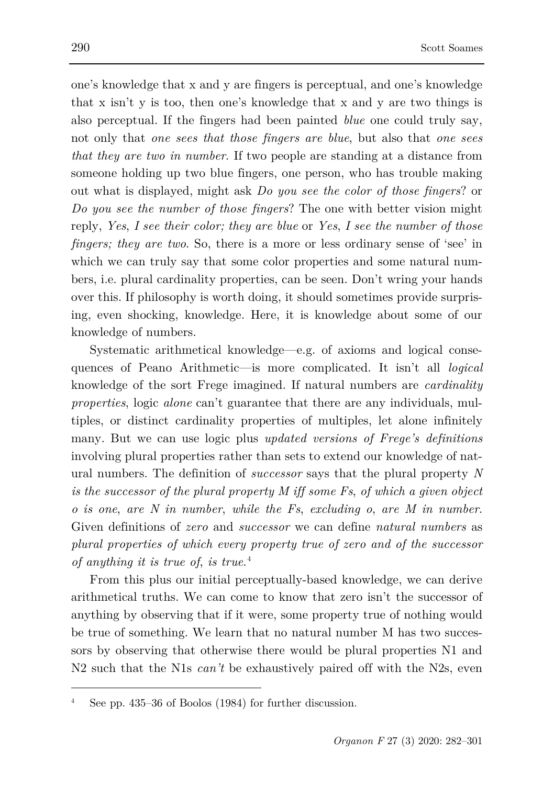one's knowledge that x and y are fingers is perceptual, and one's knowledge that x isn't y is too, then one's knowledge that x and y are two things is also perceptual. If the fingers had been painted *blue* one could truly say, not only that *one sees that those fingers are blue*, but also that *one sees that they are two in number*. If two people are standing at a distance from someone holding up two blue fingers, one person, who has trouble making out what is displayed, might ask *Do you see the color of those fingers*? or *Do you see the number of those fingers*? The one with better vision might reply, *Yes*, *I see their color; they are blue* or *Yes*, *I see the number of those fingers; they are two*. So, there is a more or less ordinary sense of 'see' in which we can truly say that some color properties and some natural numbers, i.e. plural cardinality properties, can be seen. Don't wring your hands over this. If philosophy is worth doing, it should sometimes provide surprising, even shocking, knowledge. Here, it is knowledge about some of our knowledge of numbers.

Systematic arithmetical knowledge—e.g. of axioms and logical consequences of Peano Arithmetic—is more complicated. It isn't all *logical* knowledge of the sort Frege imagined. If natural numbers are *cardinality properties*, logic *alone* can't guarantee that there are any individuals, multiples, or distinct cardinality properties of multiples, let alone infinitely many. But we can use logic plus *updated versions of Frege's definitions* involving plural properties rather than sets to extend our knowledge of natural numbers. The definition of *successor* says that the plural property *N is the successor of the plural property M iff some Fs*, *of which a given object o is one*, *are N in number*, *while the Fs*, *excluding o*, *are M in number*. Given definitions of *zero* and *successor* we can define *natural numbers* as *plural properties of which every property true of zero and of the successor of anything it is true of*, *is true*. [4](#page-8-0)

From this plus our initial perceptually-based knowledge, we can derive arithmetical truths. We can come to know that zero isn't the successor of anything by observing that if it were, some property true of nothing would be true of something. We learn that no natural number M has two successors by observing that otherwise there would be plural properties N1 and N2 such that the N1s *can't* be exhaustively paired off with the N2s, even

<span id="page-8-0"></span>See pp. 435–36 of Boolos (1984) for further discussion.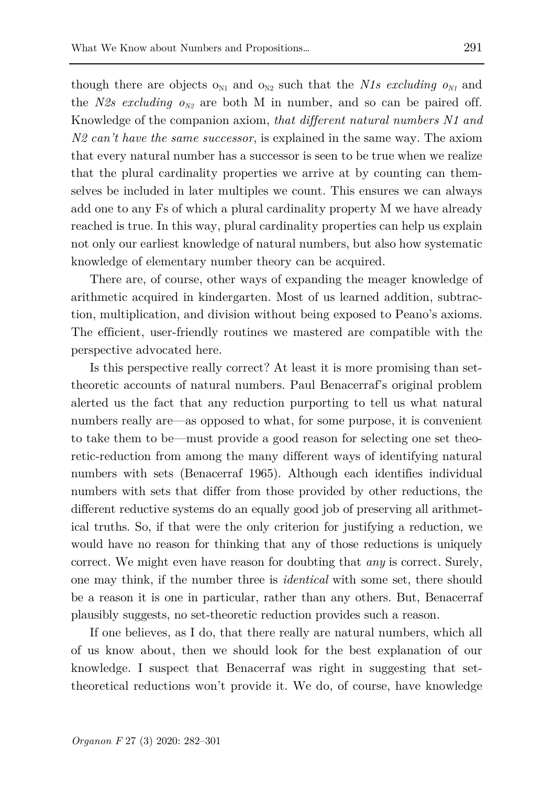though there are objects  $o_{N1}$  and  $o_{N2}$  such that the *N1s excluding*  $o_{N1}$  and the *N2s excluding*  $o_{N2}$  are both M in number, and so can be paired off. Knowledge of the companion axiom, *that different natural numbers N1 and N2 can't have the same successor*, is explained in the same way. The axiom that every natural number has a successor is seen to be true when we realize that the plural cardinality properties we arrive at by counting can themselves be included in later multiples we count. This ensures we can always add one to any Fs of which a plural cardinality property M we have already reached is true. In this way, plural cardinality properties can help us explain not only our earliest knowledge of natural numbers, but also how systematic knowledge of elementary number theory can be acquired.

There are, of course, other ways of expanding the meager knowledge of arithmetic acquired in kindergarten. Most of us learned addition, subtraction, multiplication, and division without being exposed to Peano's axioms. The efficient, user-friendly routines we mastered are compatible with the perspective advocated here.

Is this perspective really correct? At least it is more promising than settheoretic accounts of natural numbers. Paul Benacerraf's original problem alerted us the fact that any reduction purporting to tell us what natural numbers really are—as opposed to what, for some purpose, it is convenient to take them to be—must provide a good reason for selecting one set theoretic-reduction from among the many different ways of identifying natural numbers with sets (Benacerraf 1965). Although each identifies individual numbers with sets that differ from those provided by other reductions, the different reductive systems do an equally good job of preserving all arithmetical truths. So, if that were the only criterion for justifying a reduction, we would have no reason for thinking that any of those reductions is uniquely correct. We might even have reason for doubting that *any* is correct. Surely, one may think, if the number three is *identical* with some set, there should be a reason it is one in particular, rather than any others. But, Benacerraf plausibly suggests, no set-theoretic reduction provides such a reason.

If one believes, as I do, that there really are natural numbers, which all of us know about, then we should look for the best explanation of our knowledge. I suspect that Benacerraf was right in suggesting that settheoretical reductions won't provide it. We do, of course, have knowledge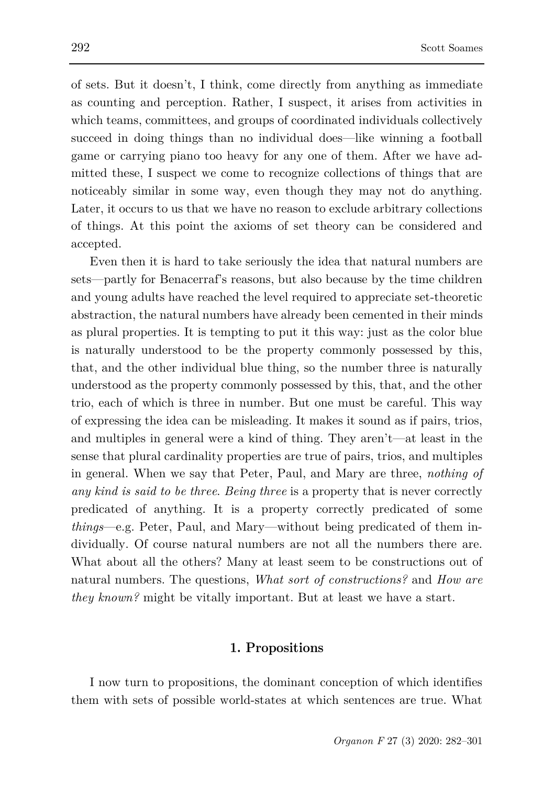of sets. But it doesn't, I think, come directly from anything as immediate as counting and perception. Rather, I suspect, it arises from activities in which teams, committees, and groups of coordinated individuals collectively succeed in doing things than no individual does—like winning a football game or carrying piano too heavy for any one of them. After we have admitted these, I suspect we come to recognize collections of things that are noticeably similar in some way, even though they may not do anything. Later, it occurs to us that we have no reason to exclude arbitrary collections of things. At this point the axioms of set theory can be considered and accepted.

Even then it is hard to take seriously the idea that natural numbers are sets—partly for Benacerraf's reasons, but also because by the time children and young adults have reached the level required to appreciate set-theoretic abstraction, the natural numbers have already been cemented in their minds as plural properties. It is tempting to put it this way: just as the color blue is naturally understood to be the property commonly possessed by this, that, and the other individual blue thing, so the number three is naturally understood as the property commonly possessed by this, that, and the other trio, each of which is three in number. But one must be careful. This way of expressing the idea can be misleading. It makes it sound as if pairs, trios, and multiples in general were a kind of thing. They aren't—at least in the sense that plural cardinality properties are true of pairs, trios, and multiples in general. When we say that Peter, Paul, and Mary are three, *nothing of any kind is said to be three*. *Being three* is a property that is never correctly predicated of anything. It is a property correctly predicated of some *things*—e.g. Peter, Paul, and Mary—without being predicated of them individually. Of course natural numbers are not all the numbers there are. What about all the others? Many at least seem to be constructions out of natural numbers. The questions, *What sort of constructions?* and *How are they known?* might be vitally important. But at least we have a start.

## **1. Propositions**

I now turn to propositions, the dominant conception of which identifies them with sets of possible world-states at which sentences are true. What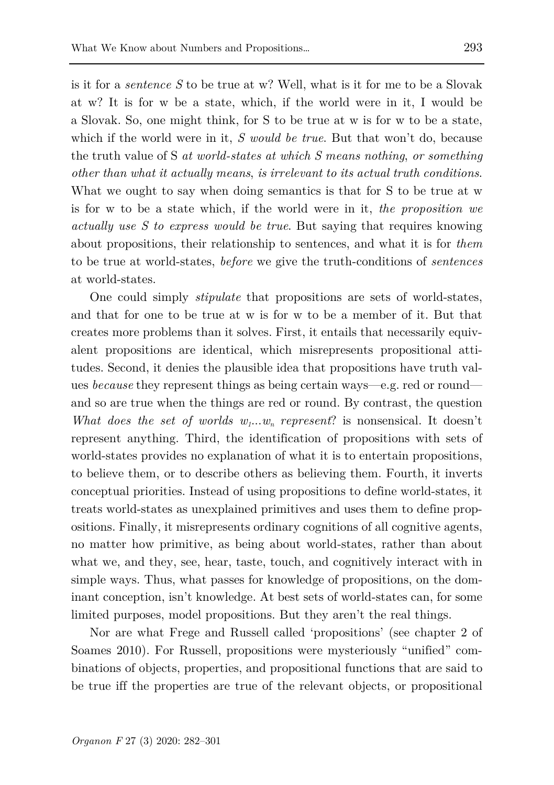is it for a *sentence S* to be true at w? Well, what is it for me to be a Slovak at w? It is for w be a state, which, if the world were in it, I would be a Slovak. So, one might think, for S to be true at w is for w to be a state, which if the world were in it, *S would be true*. But that won't do, because the truth value of S *at world-states at which S means nothing*, *or something other than what it actually means*, *is irrelevant to its actual truth conditions*. What we ought to say when doing semantics is that for S to be true at w is for w to be a state which, if the world were in it, *the proposition we actually use S to express would be true*. But saying that requires knowing about propositions, their relationship to sentences, and what it is for *them* to be true at world-states, *before* we give the truth-conditions of *sentences* at world-states.

One could simply *stipulate* that propositions are sets of world-states, and that for one to be true at w is for w to be a member of it. But that creates more problems than it solves. First, it entails that necessarily equivalent propositions are identical, which misrepresents propositional attitudes. Second, it denies the plausible idea that propositions have truth values *because* they represent things as being certain ways—e.g. red or round and so are true when the things are red or round. By contrast, the question *What does the set of worlds*  $w_1...w_n$  *represent?* is nonsensical. It doesn't represent anything. Third, the identification of propositions with sets of world-states provides no explanation of what it is to entertain propositions, to believe them, or to describe others as believing them. Fourth, it inverts conceptual priorities. Instead of using propositions to define world-states, it treats world-states as unexplained primitives and uses them to define propositions. Finally, it misrepresents ordinary cognitions of all cognitive agents, no matter how primitive, as being about world-states, rather than about what we, and they, see, hear, taste, touch, and cognitively interact with in simple ways. Thus, what passes for knowledge of propositions, on the dominant conception, isn't knowledge. At best sets of world-states can, for some limited purposes, model propositions. But they aren't the real things.

Nor are what Frege and Russell called 'propositions' (see chapter 2 of Soames 2010). For Russell, propositions were mysteriously "unified" combinations of objects, properties, and propositional functions that are said to be true iff the properties are true of the relevant objects, or propositional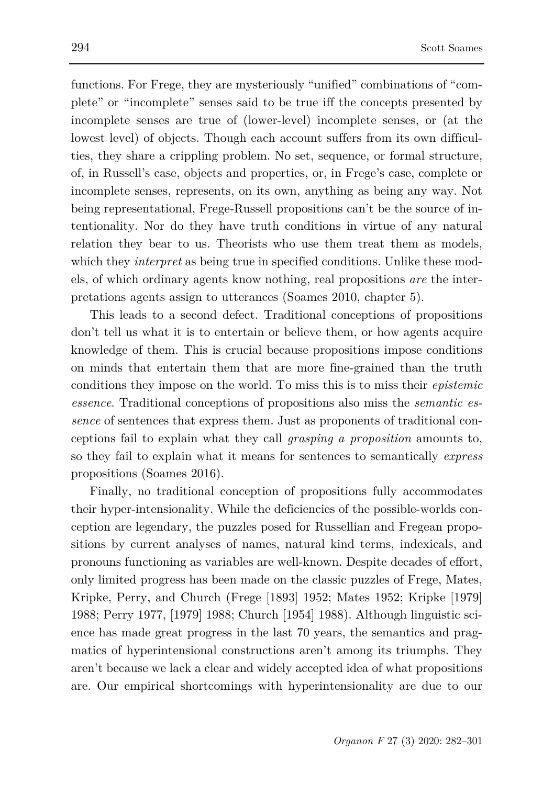functions. For Frege, they are mysteriously "unified" combinations of "complete" or "incomplete" senses said to be true iff the concepts presented by incomplete senses are true of (lower-level) incomplete senses, or (at the lowest level) of objects. Though each account suffers from its own difficulties, they share a crippling problem. No set, sequence, or formal structure, of, in Russell's case, objects and properties, or, in Frege's case, complete or incomplete senses, represents, on its own, anything as being any way. Not being representational, Frege-Russell propositions can't be the source of intentionality. Nor do they have truth conditions in virtue of any natural relation they bear to us. Theorists who use them treat them as models, which they *interpret* as being true in specified conditions. Unlike these models, of which ordinary agents know nothing, real propositions *are* the interpretations agents assign to utterances (Soames 2010, chapter 5).

This leads to a second defect. Traditional conceptions of propositions don't tell us what it is to entertain or believe them, or how agents acquire knowledge of them. This is crucial because propositions impose conditions on minds that entertain them that are more fine-grained than the truth conditions they impose on the world. To miss this is to miss their *epistemic essence*. Traditional conceptions of propositions also miss the *semantic essence* of sentences that express them. Just as proponents of traditional conceptions fail to explain what they call *grasping a proposition* amounts to, so they fail to explain what it means for sentences to semantically *express* propositions (Soames 2016).

Finally, no traditional conception of propositions fully accommodates their hyper-intensionality. While the deficiencies of the possible-worlds conception are legendary, the puzzles posed for Russellian and Fregean propositions by current analyses of names, natural kind terms, indexicals, and pronouns functioning as variables are well-known. Despite decades of effort, only limited progress has been made on the classic puzzles of Frege, Mates, Kripke, Perry, and Church (Frege [1893] 1952; Mates 1952; Kripke [1979] 1988; Perry 1977, [1979] 1988; Church [1954] 1988). Although linguistic science has made great progress in the last 70 years, the semantics and pragmatics of hyperintensional constructions aren't among its triumphs. They aren't because we lack a clear and widely accepted idea of what propositions are. Our empirical shortcomings with hyperintensionality are due to our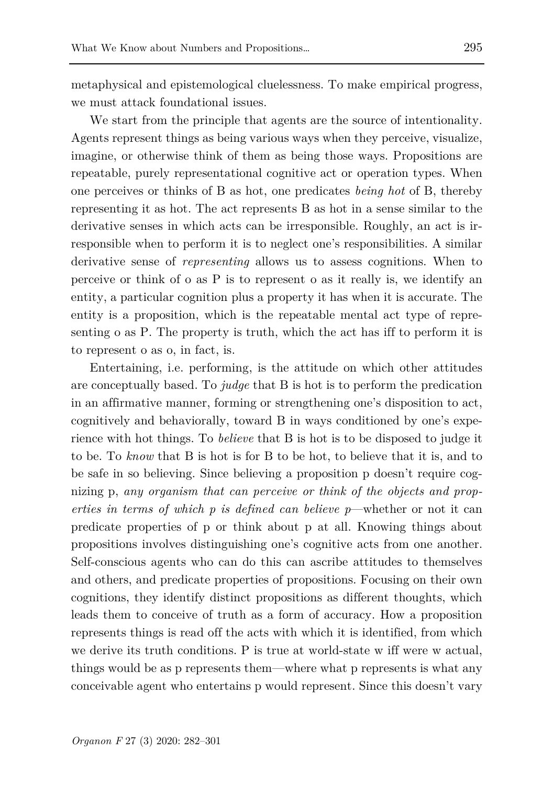metaphysical and epistemological cluelessness. To make empirical progress, we must attack foundational issues.

We start from the principle that agents are the source of intentionality. Agents represent things as being various ways when they perceive, visualize, imagine, or otherwise think of them as being those ways. Propositions are repeatable, purely representational cognitive act or operation types. When one perceives or thinks of B as hot, one predicates *being hot* of B, thereby representing it as hot. The act represents B as hot in a sense similar to the derivative senses in which acts can be irresponsible. Roughly, an act is irresponsible when to perform it is to neglect one's responsibilities. A similar derivative sense of *representing* allows us to assess cognitions. When to perceive or think of o as P is to represent o as it really is, we identify an entity, a particular cognition plus a property it has when it is accurate. The entity is a proposition, which is the repeatable mental act type of representing o as P. The property is truth, which the act has iff to perform it is to represent o as o, in fact, is.

Entertaining, i.e. performing, is the attitude on which other attitudes are conceptually based. To *judge* that B is hot is to perform the predication in an affirmative manner, forming or strengthening one's disposition to act, cognitively and behaviorally, toward B in ways conditioned by one's experience with hot things. To *believe* that B is hot is to be disposed to judge it to be. To *know* that B is hot is for B to be hot, to believe that it is, and to be safe in so believing. Since believing a proposition p doesn't require cognizing p, *any organism that can perceive or think of the objects and properties in terms of which p is defined can believe p*—whether or not it can predicate properties of p or think about p at all. Knowing things about propositions involves distinguishing one's cognitive acts from one another. Self-conscious agents who can do this can ascribe attitudes to themselves and others, and predicate properties of propositions. Focusing on their own cognitions, they identify distinct propositions as different thoughts, which leads them to conceive of truth as a form of accuracy. How a proposition represents things is read off the acts with which it is identified, from which we derive its truth conditions. P is true at world-state w iff were w actual, things would be as p represents them—where what p represents is what any conceivable agent who entertains p would represent. Since this doesn't vary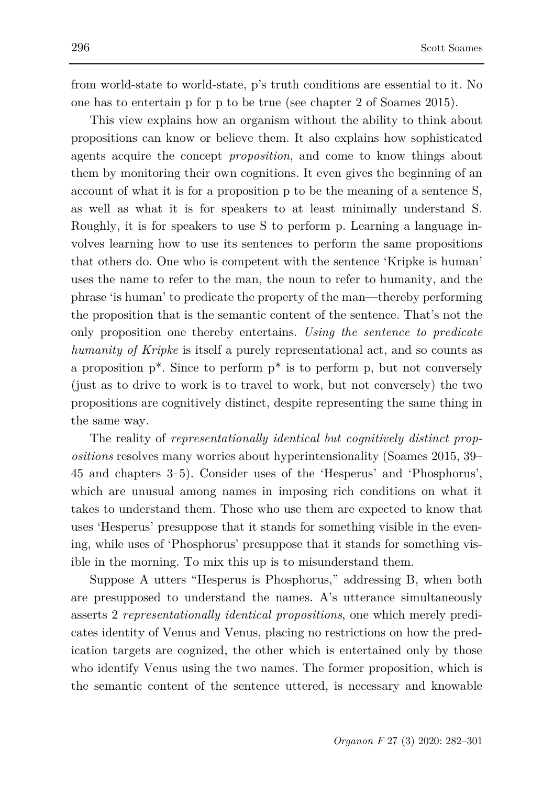from world-state to world-state, p's truth conditions are essential to it. No one has to entertain p for p to be true (see chapter 2 of Soames 2015).

This view explains how an organism without the ability to think about propositions can know or believe them. It also explains how sophisticated agents acquire the concept *proposition*, and come to know things about them by monitoring their own cognitions. It even gives the beginning of an account of what it is for a proposition p to be the meaning of a sentence S, as well as what it is for speakers to at least minimally understand S. Roughly, it is for speakers to use S to perform p. Learning a language involves learning how to use its sentences to perform the same propositions that others do. One who is competent with the sentence 'Kripke is human' uses the name to refer to the man, the noun to refer to humanity, and the phrase 'is human' to predicate the property of the man—thereby performing the proposition that is the semantic content of the sentence. That's not the only proposition one thereby entertains. *Using the sentence to predicate humanity of Kripke* is itself a purely representational act, and so counts as a proposition  $p^*$ . Since to perform  $p^*$  is to perform p, but not conversely (just as to drive to work is to travel to work, but not conversely) the two propositions are cognitively distinct, despite representing the same thing in the same way.

The reality of *representationally identical but cognitively distinct propositions* resolves many worries about hyperintensionality (Soames 2015, 39– 45 and chapters 3–5). Consider uses of the 'Hesperus' and 'Phosphorus', which are unusual among names in imposing rich conditions on what it takes to understand them. Those who use them are expected to know that uses 'Hesperus' presuppose that it stands for something visible in the evening, while uses of 'Phosphorus' presuppose that it stands for something visible in the morning. To mix this up is to misunderstand them.

Suppose A utters "Hesperus is Phosphorus," addressing B, when both are presupposed to understand the names. A's utterance simultaneously asserts 2 *representationally identical propositions*, one which merely predicates identity of Venus and Venus, placing no restrictions on how the predication targets are cognized, the other which is entertained only by those who identify Venus using the two names. The former proposition, which is the semantic content of the sentence uttered, is necessary and knowable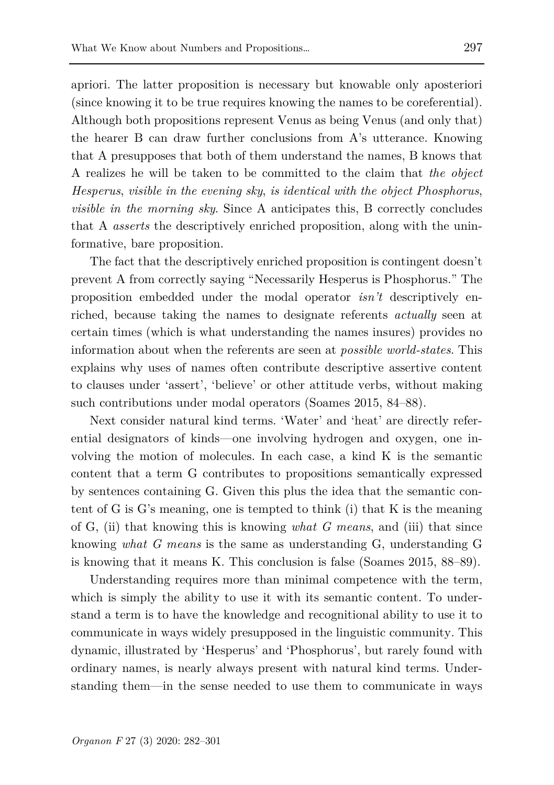apriori. The latter proposition is necessary but knowable only aposteriori (since knowing it to be true requires knowing the names to be coreferential). Although both propositions represent Venus as being Venus (and only that) the hearer B can draw further conclusions from A's utterance. Knowing that A presupposes that both of them understand the names, B knows that A realizes he will be taken to be committed to the claim that *the object Hesperus*, *visible in the evening sky*, *is identical with the object Phosphorus*, *visible in the morning sky*. Since A anticipates this, B correctly concludes that A *asserts* the descriptively enriched proposition, along with the uninformative, bare proposition.

The fact that the descriptively enriched proposition is contingent doesn't prevent A from correctly saying "Necessarily Hesperus is Phosphorus." The proposition embedded under the modal operator *isn't* descriptively enriched, because taking the names to designate referents *actually* seen at certain times (which is what understanding the names insures) provides no information about when the referents are seen at *possible world-states*. This explains why uses of names often contribute descriptive assertive content to clauses under 'assert', 'believe' or other attitude verbs, without making such contributions under modal operators (Soames 2015, 84–88).

Next consider natural kind terms. 'Water' and 'heat' are directly referential designators of kinds—one involving hydrogen and oxygen, one involving the motion of molecules. In each case, a kind K is the semantic content that a term G contributes to propositions semantically expressed by sentences containing G. Given this plus the idea that the semantic content of G is G's meaning, one is tempted to think (i) that K is the meaning of G, (ii) that knowing this is knowing *what G means*, and (iii) that since knowing *what G means* is the same as understanding G, understanding G is knowing that it means K. This conclusion is false (Soames 2015, 88–89).

Understanding requires more than minimal competence with the term, which is simply the ability to use it with its semantic content. To understand a term is to have the knowledge and recognitional ability to use it to communicate in ways widely presupposed in the linguistic community. This dynamic, illustrated by 'Hesperus' and 'Phosphorus', but rarely found with ordinary names, is nearly always present with natural kind terms. Understanding them—in the sense needed to use them to communicate in ways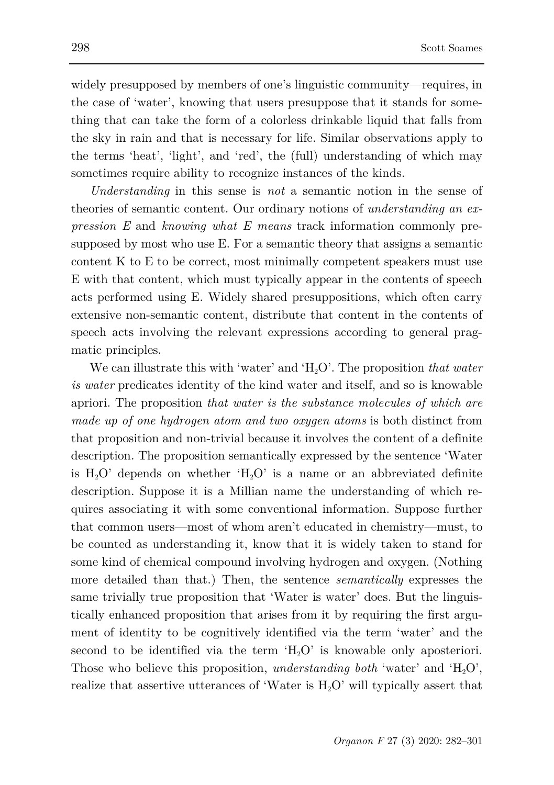widely presupposed by members of one's linguistic community—requires, in the case of 'water', knowing that users presuppose that it stands for something that can take the form of a colorless drinkable liquid that falls from the sky in rain and that is necessary for life. Similar observations apply to the terms 'heat', 'light', and 'red', the (full) understanding of which may sometimes require ability to recognize instances of the kinds.

*Understanding* in this sense is *not* a semantic notion in the sense of theories of semantic content. Our ordinary notions of *understanding an expression E* and *knowing what E means* track information commonly presupposed by most who use E. For a semantic theory that assigns a semantic content K to E to be correct, most minimally competent speakers must use E with that content, which must typically appear in the contents of speech acts performed using E. Widely shared presuppositions, which often carry extensive non-semantic content, distribute that content in the contents of speech acts involving the relevant expressions according to general pragmatic principles.

We can illustrate this with 'water' and 'H<sub>2</sub>O'. The proposition *that water is water* predicates identity of the kind water and itself, and so is knowable apriori. The proposition *that water is the substance molecules of which are made up of one hydrogen atom and two oxygen atoms* is both distinct from that proposition and non-trivial because it involves the content of a definite description. The proposition semantically expressed by the sentence 'Water is  $H_2O'$  depends on whether ' $H_2O'$  is a name or an abbreviated definite description. Suppose it is a Millian name the understanding of which requires associating it with some conventional information. Suppose further that common users—most of whom aren't educated in chemistry—must, to be counted as understanding it, know that it is widely taken to stand for some kind of chemical compound involving hydrogen and oxygen. (Nothing more detailed than that.) Then, the sentence *semantically* expresses the same trivially true proposition that 'Water is water' does. But the linguistically enhanced proposition that arises from it by requiring the first argument of identity to be cognitively identified via the term 'water' and the second to be identified via the term  $H_2O'$  is knowable only aposteriori. Those who believe this proposition, *understanding both* 'water' and 'H<sub>2</sub>O', realize that assertive utterances of 'Water is  $H_2O'$  will typically assert that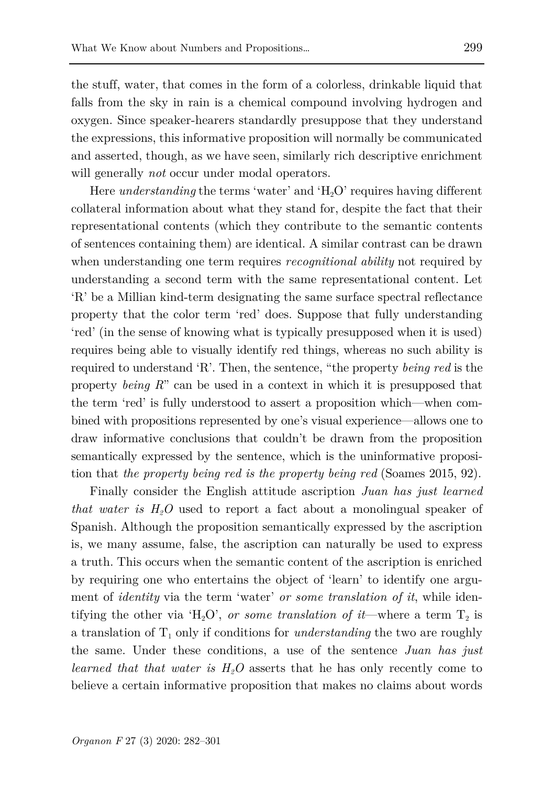the stuff, water, that comes in the form of a colorless, drinkable liquid that falls from the sky in rain is a chemical compound involving hydrogen and oxygen. Since speaker-hearers standardly presuppose that they understand the expressions, this informative proposition will normally be communicated and asserted, though, as we have seen, similarly rich descriptive enrichment will generally *not* occur under modal operators.

Here *understanding* the terms 'water' and 'H<sub>2</sub>O' requires having different collateral information about what they stand for, despite the fact that their representational contents (which they contribute to the semantic contents of sentences containing them) are identical. A similar contrast can be drawn when understanding one term requires *recognitional ability* not required by understanding a second term with the same representational content. Let 'R' be a Millian kind-term designating the same surface spectral reflectance property that the color term 'red' does. Suppose that fully understanding 'red' (in the sense of knowing what is typically presupposed when it is used) requires being able to visually identify red things, whereas no such ability is required to understand 'R'. Then, the sentence, "the property *being red* is the property *being R*" can be used in a context in which it is presupposed that the term 'red' is fully understood to assert a proposition which—when combined with propositions represented by one's visual experience—allows one to draw informative conclusions that couldn't be drawn from the proposition semantically expressed by the sentence, which is the uninformative proposition that *the property being red is the property being red* (Soames 2015, 92).

Finally consider the English attitude ascription *Juan has just learned that water is H2O* used to report a fact about a monolingual speaker of Spanish. Although the proposition semantically expressed by the ascription is, we many assume, false, the ascription can naturally be used to express a truth. This occurs when the semantic content of the ascription is enriched by requiring one who entertains the object of 'learn' to identify one argument of *identity* via the term 'water' *or some translation of it*, while identifying the other via 'H<sub>2</sub>O', *or some translation of it*—where a term  $T_2$  is a translation of  $T_1$  only if conditions for *understanding* the two are roughly the same. Under these conditions, a use of the sentence *Juan has just learned that that water is*  $H_2O$  asserts that he has only recently come to believe a certain informative proposition that makes no claims about words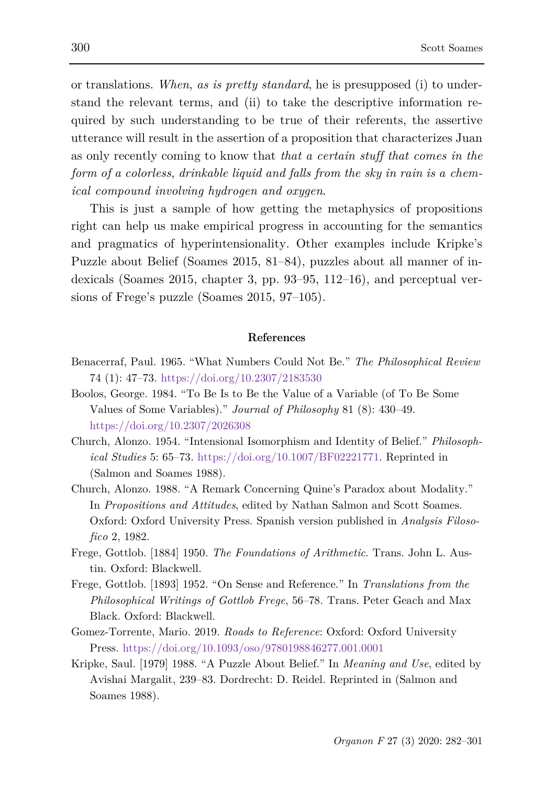or translations. *When*, *as is pretty standard*, he is presupposed (i) to understand the relevant terms, and (ii) to take the descriptive information required by such understanding to be true of their referents, the assertive utterance will result in the assertion of a proposition that characterizes Juan as only recently coming to know that *that a certain stuff that comes in the form of a colorless*, *drinkable liquid and falls from the sky in rain is a chemical compound involving hydrogen and oxygen*.

This is just a sample of how getting the metaphysics of propositions right can help us make empirical progress in accounting for the semantics and pragmatics of hyperintensionality. Other examples include Kripke's Puzzle about Belief (Soames 2015, 81–84), puzzles about all manner of indexicals (Soames 2015, chapter 3, pp. 93–95, 112–16), and perceptual versions of Frege's puzzle (Soames 2015, 97–105).

## **References**

- Benacerraf, Paul. 1965. "What Numbers Could Not Be." *The Philosophical Review* 74 (1): 47–73. <https://doi.org/10.2307/2183530>
- Boolos, George. 1984. "To Be Is to Be the Value of a Variable (of To Be Some Values of Some Variables)." *Journal of Philosophy* 81 (8): 430–49. <https://doi.org/10.2307/2026308>
- Church, Alonzo. 1954. "Intensional Isomorphism and Identity of Belief." *Philosophical Studies* 5: 65–73. [https://doi.org/10.1007/BF02221771.](https://doi.org/10.1007/BF02221771) Reprinted in (Salmon and Soames 1988).
- Church, Alonzo. 1988. "A Remark Concerning Quine's Paradox about Modality." In *Propositions and Attitudes*, edited by Nathan Salmon and Scott Soames. Oxford: Oxford University Press. Spanish version published in *Analysis Filosofico* 2, 1982.
- Frege, Gottlob. [1884] 1950. *The Foundations of Arithmetic*. Trans. John L. Austin. Oxford: Blackwell.
- Frege, Gottlob. [1893] 1952. "On Sense and Reference." In *Translations from the Philosophical Writings of Gottlob Frege*, 56–78. Trans. Peter Geach and Max Black. Oxford: Blackwell.
- Gomez-Torrente, Mario. 2019. *Roads to Reference*: Oxford: Oxford University Press. <https://doi.org/10.1093/oso/9780198846277.001.0001>
- Kripke, Saul. [1979] 1988. "A Puzzle About Belief." In *Meaning and Use*, edited by Avishai Margalit, 239–83. Dordrecht: D. Reidel. Reprinted in (Salmon and Soames 1988).